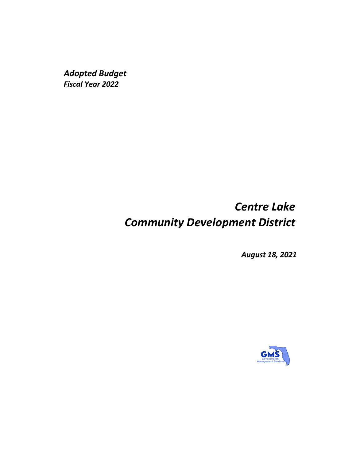*Adopted Budget Fiscal Year 2022*

# *Centre Lake Community Development District*

*August 18, 2021*

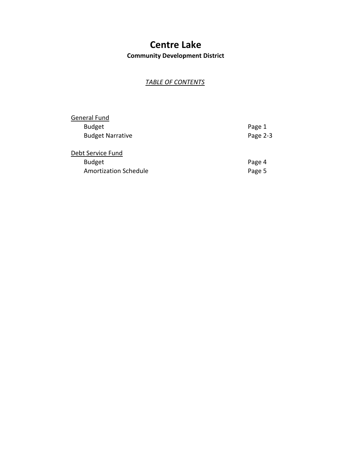## **Centre Lake**

**Community Development District**

### *TABLE OF CONTENTS*

| General Fund            |          |
|-------------------------|----------|
| <b>Budget</b>           | Page 1   |
| <b>Budget Narrative</b> | Page 2-3 |
| Debt Service Fund       |          |
| <b>Budget</b>           | Page 4   |
| Amortization Schedule   | Page 5   |
|                         |          |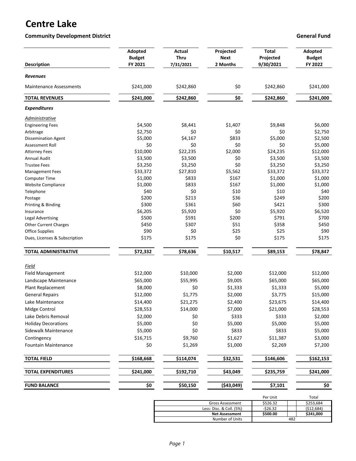### **Centre Lake**

**Community Development District Community Development District Community Development District Community Development District Community Development District Community Development District Community Development District Comm** 

| <b>Description</b>             | Adopted<br><b>Budget</b><br>FY 2021 | <b>Actual</b><br><b>Thru</b><br>7/31/2021 | Projected<br>Next<br>2 Months | <b>Total</b><br>Projected<br>9/30/2021 | Adopted<br><b>Budget</b><br>FY 2022 |
|--------------------------------|-------------------------------------|-------------------------------------------|-------------------------------|----------------------------------------|-------------------------------------|
| <b>Revenues</b>                |                                     |                                           |                               |                                        |                                     |
| <b>Maintenance Assessments</b> | \$241,000                           | \$242,860                                 | \$0                           | \$242,860                              | \$241,000                           |
| <b>TOTAL REVENUES</b>          | \$241,000                           | \$242,860                                 | \$0                           | \$242,860                              | \$241,000                           |
| <b>Expenditures</b>            |                                     |                                           |                               |                                        |                                     |
| Administrative                 |                                     |                                           |                               |                                        |                                     |
| <b>Engineering Fees</b>        | \$4,500                             | \$8,441                                   | \$1,407                       | \$9,848                                | \$6,000                             |
| Arbitrage                      | \$2,750                             | \$0                                       | \$0                           | \$0                                    | \$2,750                             |
| <b>Dissemination Agent</b>     | \$5,000                             | \$4,167                                   | \$833                         | \$5,000                                | \$2,500                             |
| Assessment Roll                | \$0                                 | \$0                                       | \$0                           | \$0                                    | \$5,000                             |
| <b>Attorney Fees</b>           | \$10,000                            | \$22,235                                  | \$2,000                       | \$24,235                               | \$12,000                            |
| <b>Annual Audit</b>            | \$3,500                             | \$3,500                                   | \$0                           | \$3,500                                | \$3,500                             |
| <b>Trustee Fees</b>            | \$3,250                             | \$3,250                                   | \$0                           | \$3,250                                | \$3,250                             |
| <b>Management Fees</b>         | \$33,372                            | \$27,810                                  | \$5,562                       | \$33,372                               | \$33,372                            |
| <b>Computer Time</b>           | \$1,000                             | \$833                                     | \$167                         | \$1,000                                | \$1,000                             |
| <b>Website Compliance</b>      | \$1,000                             | \$833                                     | \$167                         | \$1,000                                | \$1,000                             |
| Telephone                      | \$40                                | \$0                                       | \$10                          | \$10                                   | \$40                                |
| Postage                        | \$200                               | \$213                                     | \$36                          | \$249                                  | \$200                               |
| Printing & Binding             | \$300                               | \$361                                     | \$60                          | \$421                                  | \$300                               |
| Insurance                      | \$6,205                             | \$5,920                                   | \$0                           | \$5,920                                | \$6,520                             |
| <b>Legal Advertising</b>       | \$500                               | \$591                                     | \$200                         | \$791                                  | \$700                               |
| <b>Other Current Charges</b>   | \$450                               | \$307                                     | \$51                          | \$358                                  | \$450                               |
| Office Supplies                | \$90                                | \$0                                       | \$25                          | \$25                                   | \$90                                |
| Dues, Licenses & Subscription  | \$175                               | \$175                                     | \$0                           | \$175                                  | \$175                               |
| TOTAL ADMINISTRATIVE           | \$72,332                            | \$78,636                                  | \$10,517                      | \$89,153                               | \$78,847                            |
| Field                          |                                     |                                           |                               |                                        |                                     |
| <b>Field Management</b>        | \$12,000                            | \$10,000                                  | \$2,000                       | \$12,000                               | \$12,000                            |
| Landscape Maintenance          | \$65,000                            | \$55,995                                  | \$9,005                       | \$65,000                               | \$65,000                            |
| Plant Replacement              | \$8,000                             | \$0                                       | \$1,333                       | \$1,333                                | \$5,000                             |
| <b>General Repairs</b>         | \$12,000                            | \$1,775                                   | \$2,000                       | \$3,775                                | \$15,000                            |
| Lake Maintenance               | \$14,400                            | \$21,275                                  | \$2,400                       | \$23,675                               | \$14,400                            |
|                                |                                     |                                           |                               |                                        |                                     |
| Midge Control                  | \$28,553                            | \$14,000                                  | \$7,000                       | \$21,000                               | \$28,553                            |
| Lake Debris Removal            | \$2,000                             | \$0                                       | \$333                         | \$333                                  | \$2,000                             |
| <b>Holiday Decorations</b>     | \$5,000                             | \$0                                       | \$5,000                       | \$5,000                                | \$5,000                             |
| Sidewalk Maintenance           | \$5,000                             | \$0                                       | \$833                         | \$833                                  | \$5,000                             |
| Contingency                    | \$16,715                            | \$9,760                                   | \$1,627                       | \$11,387                               | \$3,000                             |
| Fountain Maintenance           | \$0                                 | \$1,269                                   | \$1,000                       | \$2,269                                | \$7,200                             |
| <b>TOTAL FIELD</b>             | \$168,668                           | \$114,074                                 | \$32,531                      | \$146,606                              | \$162,153                           |
| <b>TOTAL EXPENDITURES</b>      | \$241,000                           | \$192,710                                 | \$43,049                      | \$235,759                              | \$241,000                           |
| <b>FUND BALANCE</b>            | \$0                                 | \$50,150                                  | (\$43,049)                    | \$7,101                                | \$0                                 |

| Per Unit  | Total       |  |
|-----------|-------------|--|
| \$526.32  | \$253,684   |  |
| $-526.32$ | ( \$12,684) |  |
| \$500.00  | \$241,000   |  |
| 482       |             |  |
|           |             |  |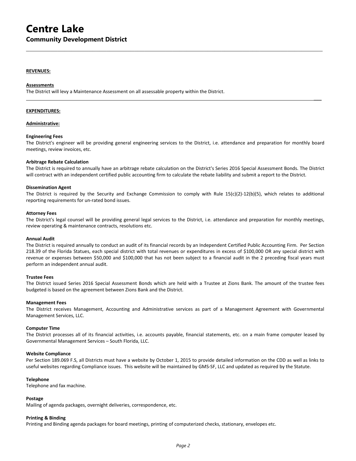### **Centre Lake Community Development District**

#### **REVENUES:**

#### **Assessments**

The District will levy a Maintenance Assessment on all assessable property within the District.

#### **EXPENDITURES:**

#### **Administrative:**

#### **Engineering Fees**

The District's engineer will be providing general engineering services to the District, i.e. attendance and preparation for monthly board meetings, review invoices, etc.

**\_\_\_**

 $\mathcal{L}_\mathcal{L} = \{ \mathcal{L}_\mathcal{L} = \{ \mathcal{L}_\mathcal{L} = \{ \mathcal{L}_\mathcal{L} = \{ \mathcal{L}_\mathcal{L} = \{ \mathcal{L}_\mathcal{L} = \{ \mathcal{L}_\mathcal{L} = \{ \mathcal{L}_\mathcal{L} = \{ \mathcal{L}_\mathcal{L} = \{ \mathcal{L}_\mathcal{L} = \{ \mathcal{L}_\mathcal{L} = \{ \mathcal{L}_\mathcal{L} = \{ \mathcal{L}_\mathcal{L} = \{ \mathcal{L}_\mathcal{L} = \{ \mathcal{L}_\mathcal{$ 

#### **Arbitrage Rebate Calculation**

The District is required to annually have an arbitrage rebate calculation on the District's Series 2016 Special Assessment Bonds. The District will contract with an independent certified public accounting firm to calculate the rebate liability and submit a report to the District.

#### **Dissemination Agent**

The District is required by the Security and Exchange Commission to comply with Rule 15(c)(2)-12(b)(5), which relates to additional reporting requirements for un-rated bond issues.

#### **Attorney Fees**

The District's legal counsel will be providing general legal services to the District, i.e. attendance and preparation for monthly meetings, review operating & maintenance contracts, resolutions etc.

#### **Annual Audit**

The District is required annually to conduct an audit of its financial records by an Independent Certified Public Accounting Firm. Per Section 218.39 of the Florida Statues, each special district with total revenues or expenditures in excess of \$100,000 OR any special district with revenue or expenses between \$50,000 and \$100,000 that has not been subject to a financial audit in the 2 preceding fiscal years must perform an independent annual audit.

#### **Trustee Fees**

The District issued Series 2016 Special Assessment Bonds which are held with a Trustee at Zions Bank. The amount of the trustee fees budgeted is based on the agreement between Zions Bank and the District.

#### **Management Fees**

The District receives Management, Accounting and Administrative services as part of a Management Agreement with Governmental Management Services, LLC.

#### **Computer Time**

The District processes all of its financial activities, i.e. accounts payable, financial statements, etc. on a main frame computer leased by Governmental Management Services – South Florida, LLC.

#### **Website Compliance**

Per Section 189.069 F.S, all Districts must have a website by October 1, 2015 to provide detailed information on the CDD as well as links to useful websites regarding Compliance issues. This website will be maintained by GMS-SF, LLC and updated as required by the Statute.

#### **Telephone**

Telephone and fax machine.

#### **Postage**

Mailing of agenda packages, overnight deliveries, correspondence, etc.

#### **Printing & Binding**

Printing and Binding agenda packages for board meetings, printing of computerized checks, stationary, envelopes etc.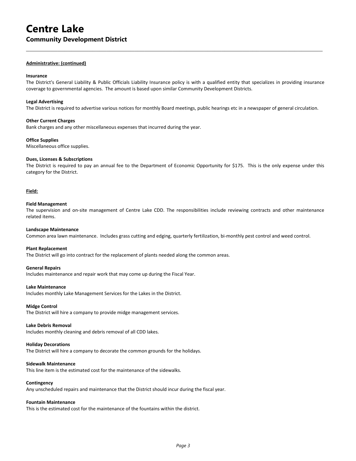### **Centre Lake Community Development District**

#### **Administrative: (continued)**

#### **Insurance**

The District's General Liability & Public Officials Liability Insurance policy is with a qualified entity that specializes in providing insurance coverage to governmental agencies. The amount is based upon similar Community Development Districts.

 $\mathcal{L}_\mathcal{L} = \{ \mathcal{L}_\mathcal{L} = \{ \mathcal{L}_\mathcal{L} = \{ \mathcal{L}_\mathcal{L} = \{ \mathcal{L}_\mathcal{L} = \{ \mathcal{L}_\mathcal{L} = \{ \mathcal{L}_\mathcal{L} = \{ \mathcal{L}_\mathcal{L} = \{ \mathcal{L}_\mathcal{L} = \{ \mathcal{L}_\mathcal{L} = \{ \mathcal{L}_\mathcal{L} = \{ \mathcal{L}_\mathcal{L} = \{ \mathcal{L}_\mathcal{L} = \{ \mathcal{L}_\mathcal{L} = \{ \mathcal{L}_\mathcal{$ 

#### **Legal Advertising**

The District is required to advertise various notices for monthly Board meetings, public hearings etc in a newspaper of general circulation.

#### **Other Current Charges**

Bank charges and any other miscellaneous expenses that incurred during the year.

#### **Office Supplies**

Miscellaneous office supplies.

#### **Dues, Licenses & Subscriptions**

The District is required to pay an annual fee to the Department of Economic Opportunity for \$175. This is the only expense under this category for the District.

#### **Field:**

#### **Field Management**

The supervision and on-site management of Centre Lake CDD. The responsibilities include reviewing contracts and other maintenance related items.

#### **Landscape Maintenance**

Common area lawn maintenance. Includes grass cutting and edging, quarterly fertilization, bi-monthly pest control and weed control.

#### **Plant Replacement**

The District will go into contract for the replacement of plants needed along the common areas.

#### **General Repairs**

Includes maintenance and repair work that may come up during the Fiscal Year.

#### **Lake Maintenance**

Includes monthly Lake Management Services for the Lakes in the District.

#### **Midge Control**

The District will hire a company to provide midge management services.

#### **Lake Debris Removal**

Includes monthly cleaning and debris removal of all CDD lakes.

#### **Holiday Decorations**

The District will hire a company to decorate the common grounds for the holidays.

#### **Sidewalk Maintenance**

This line item is the estimated cost for the maintenance of the sidewalks.

#### **Contingency**

Any unscheduled repairs and maintenance that the District should incur during the fiscal year.

#### **Fountain Maintenance**

This is the estimated cost for the maintenance of the fountains within the district.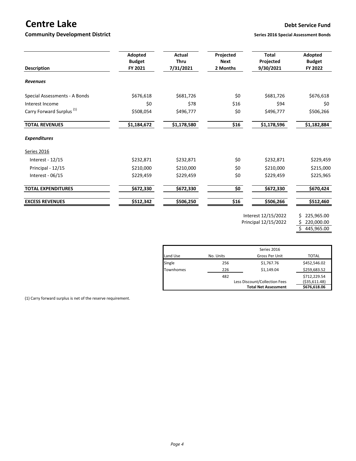### **Centre Lake Debt Service Fund**

#### **Community Development District Series 2016** Series 2016 Special Assessment Bonds

| <b>Description</b>                   | Adopted<br><b>Budget</b><br>FY 2021 | <b>Actual</b><br><b>Thru</b><br>7/31/2021 | Projected<br><b>Next</b><br>2 Months                        | <b>Total</b><br>Projected<br>9/30/2021 | Adopted<br><b>Budget</b><br>FY 2022 |
|--------------------------------------|-------------------------------------|-------------------------------------------|-------------------------------------------------------------|----------------------------------------|-------------------------------------|
| <b>Revenues</b>                      |                                     |                                           |                                                             |                                        |                                     |
| Special Assessments - A Bonds        | \$676,618                           | \$681,726                                 | \$0                                                         | \$681,726                              | \$676,618                           |
| Interest Income                      | \$0                                 | \$78                                      | \$16                                                        | \$94                                   | \$0                                 |
| Carry Forward Surplus <sup>(1)</sup> | \$508,054                           | \$496,777                                 | \$0                                                         | \$496,777                              | \$506,266                           |
| <b>TOTAL REVENUES</b>                | \$1,184,672                         | \$1,178,580                               | \$16                                                        | \$1,178,596                            | \$1,182,884                         |
| <b>Expenditures</b>                  |                                     |                                           |                                                             |                                        |                                     |
| <b>Series 2016</b>                   |                                     |                                           |                                                             |                                        |                                     |
| Interest - 12/15                     | \$232,871                           | \$232,871                                 | \$0                                                         | \$232,871                              | \$229,459                           |
| Principal - 12/15                    | \$210,000                           | \$210,000                                 | \$0                                                         | \$210,000                              | \$215,000                           |
| Interest - $06/15$                   | \$229,459                           | \$229,459                                 | \$0                                                         | \$229,459                              | \$225,965                           |
| <b>TOTAL EXPENDITURES</b>            | \$672,330                           | \$672,330                                 | $\overline{\boldsymbol{\mathsf{S}}\boldsymbol{\mathsf{O}}}$ | \$672,330                              | \$670,424                           |
| <b>EXCESS REVENUES</b>               | \$512,342                           | \$506,250                                 | \$16                                                        | 5506,266                               | \$512,460                           |
|                                      |                                     |                                           |                                                             | Interest 12/15/2022                    | 225,965.00<br>\$.                   |

Principal 12/15/2022 \$ 220,000.00

 $$ 445,965.00$ 

|                  |             | <b>Total Net Assessment</b>   | \$676,618.06   |  |
|------------------|-------------|-------------------------------|----------------|--|
|                  |             | Less Discount/Collection Fees | ( \$35,611.48) |  |
|                  | 482         |                               | \$712,229.54   |  |
| <b>Townhomes</b> | 226         | \$1,149.04                    | \$259,683.52   |  |
| Single           | 256         | \$1,767.76                    | \$452,546.02   |  |
| Land Use         | No. Units   | Gross Per Unit                | <b>TOTAL</b>   |  |
|                  | Series 2016 |                               |                |  |

(1) Carry forward surplus is net of the reserve requirement.